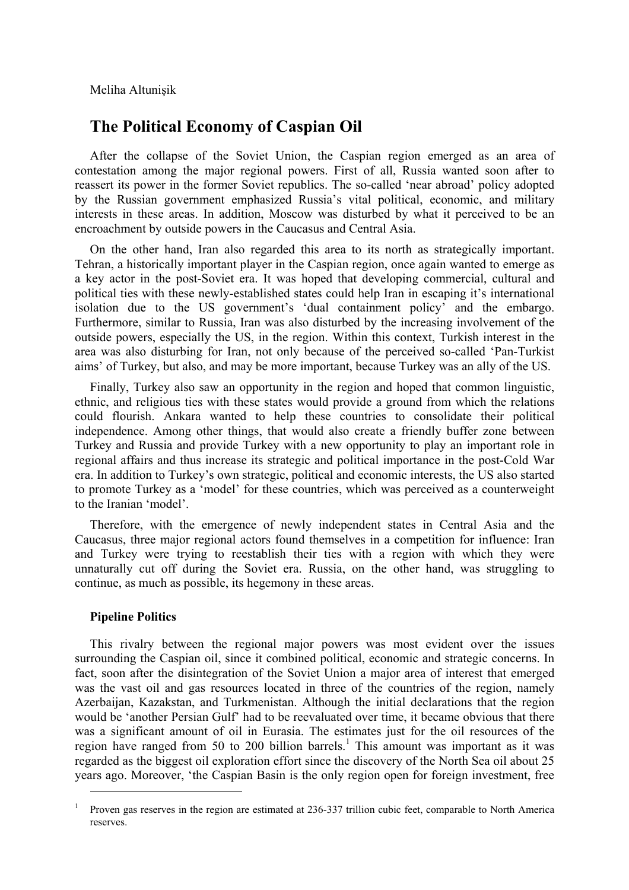Meliha Altunişik

## **The Political Economy of Caspian Oil**

After the collapse of the Soviet Union, the Caspian region emerged as an area of contestation among the major regional powers. First of all, Russia wanted soon after to reassert its power in the former Soviet republics. The so-called 'near abroad' policy adopted by the Russian government emphasized Russia's vital political, economic, and military interests in these areas. In addition, Moscow was disturbed by what it perceived to be an encroachment by outside powers in the Caucasus and Central Asia.

On the other hand, Iran also regarded this area to its north as strategically important. Tehran, a historically important player in the Caspian region, once again wanted to emerge as a key actor in the post-Soviet era. It was hoped that developing commercial, cultural and political ties with these newly-established states could help Iran in escaping it's international isolation due to the US government's 'dual containment policy' and the embargo. Furthermore, similar to Russia, Iran was also disturbed by the increasing involvement of the outside powers, especially the US, in the region. Within this context, Turkish interest in the area was also disturbing for Iran, not only because of the perceived so-called 'Pan-Turkist aims' of Turkey, but also, and may be more important, because Turkey was an ally of the US.

Finally, Turkey also saw an opportunity in the region and hoped that common linguistic, ethnic, and religious ties with these states would provide a ground from which the relations could flourish. Ankara wanted to help these countries to consolidate their political independence. Among other things, that would also create a friendly buffer zone between Turkey and Russia and provide Turkey with a new opportunity to play an important role in regional affairs and thus increase its strategic and political importance in the post-Cold War era. In addition to Turkey's own strategic, political and economic interests, the US also started to promote Turkey as a 'model' for these countries, which was perceived as a counterweight to the Iranian 'model'.

Therefore, with the emergence of newly independent states in Central Asia and the Caucasus, three major regional actors found themselves in a competition for influence: Iran and Turkey were trying to reestablish their ties with a region with which they were unnaturally cut off during the Soviet era. Russia, on the other hand, was struggling to continue, as much as possible, its hegemony in these areas.

## **Pipeline Politics**

 $\overline{a}$ 

This rivalry between the regional major powers was most evident over the issues surrounding the Caspian oil, since it combined political, economic and strategic concerns. In fact, soon after the disintegration of the Soviet Union a major area of interest that emerged was the vast oil and gas resources located in three of the countries of the region, namely Azerbaijan, Kazakstan, and Turkmenistan. Although the initial declarations that the region would be 'another Persian Gulf' had to be reevaluated over time, it became obvious that there was a significant amount of oil in Eurasia. The estimates just for the oil resources of the region have ranged from 50 to 200 billion barrels.<sup>1</sup> This amount was important as it was regarded as the biggest oil exploration effort since the discovery of the North Sea oil about 25 years ago. Moreover, 'the Caspian Basin is the only region open for foreign investment, free

<sup>1</sup> Proven gas reserves in the region are estimated at 236-337 trillion cubic feet, comparable to North America reserves.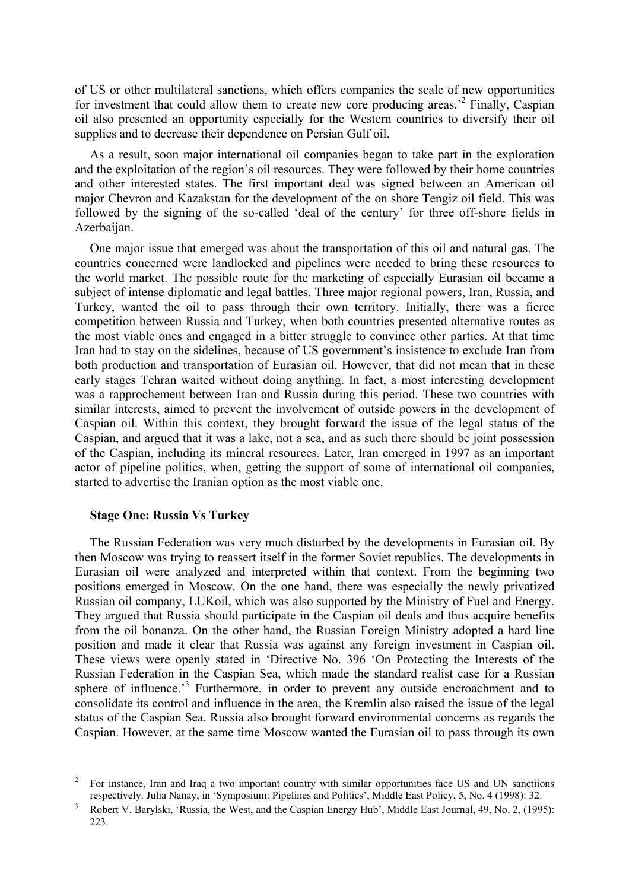of US or other multilateral sanctions, which offers companies the scale of new opportunities for investment that could allow them to create new core producing areas.<sup>2</sup> Finally, Caspian oil also presented an opportunity especially for the Western countries to diversify their oil supplies and to decrease their dependence on Persian Gulf oil.

As a result, soon major international oil companies began to take part in the exploration and the exploitation of the region's oil resources. They were followed by their home countries and other interested states. The first important deal was signed between an American oil major Chevron and Kazakstan for the development of the on shore Tengiz oil field. This was followed by the signing of the so-called 'deal of the century' for three off-shore fields in Azerbaijan.

One major issue that emerged was about the transportation of this oil and natural gas. The countries concerned were landlocked and pipelines were needed to bring these resources to the world market. The possible route for the marketing of especially Eurasian oil became a subject of intense diplomatic and legal battles. Three major regional powers, Iran, Russia, and Turkey, wanted the oil to pass through their own territory. Initially, there was a fierce competition between Russia and Turkey, when both countries presented alternative routes as the most viable ones and engaged in a bitter struggle to convince other parties. At that time Iran had to stay on the sidelines, because of US government's insistence to exclude Iran from both production and transportation of Eurasian oil. However, that did not mean that in these early stages Tehran waited without doing anything. In fact, a most interesting development was a rapprochement between Iran and Russia during this period. These two countries with similar interests, aimed to prevent the involvement of outside powers in the development of Caspian oil. Within this context, they brought forward the issue of the legal status of the Caspian, and argued that it was a lake, not a sea, and as such there should be joint possession of the Caspian, including its mineral resources. Later, Iran emerged in 1997 as an important actor of pipeline politics, when, getting the support of some of international oil companies, started to advertise the Iranian option as the most viable one.

## **Stage One: Russia Vs Turkey**

 $\overline{a}$ 

The Russian Federation was very much disturbed by the developments in Eurasian oil. By then Moscow was trying to reassert itself in the former Soviet republics. The developments in Eurasian oil were analyzed and interpreted within that context. From the beginning two positions emerged in Moscow. On the one hand, there was especially the newly privatized Russian oil company, LUKoil, which was also supported by the Ministry of Fuel and Energy. They argued that Russia should participate in the Caspian oil deals and thus acquire benefits from the oil bonanza. On the other hand, the Russian Foreign Ministry adopted a hard line position and made it clear that Russia was against any foreign investment in Caspian oil. These views were openly stated in 'Directive No. 396 'On Protecting the Interests of the Russian Federation in the Caspian Sea, which made the standard realist case for a Russian sphere of influence.<sup>3</sup> Furthermore, in order to prevent any outside encroachment and to consolidate its control and influence in the area, the Kremlin also raised the issue of the legal status of the Caspian Sea. Russia also brought forward environmental concerns as regards the Caspian. However, at the same time Moscow wanted the Eurasian oil to pass through its own

<sup>2</sup> For instance, Iran and Iraq a two important country with similar opportunities face US and UN sanctiions respectively. Julia Nanay, in 'Symposium: Pipelines and Politics', Middle East Policy, 5, No. 4 (1998): 32.

Robert V. Barylski, 'Russia, the West, and the Caspian Energy Hub', Middle East Journal, 49, No. 2, (1995): 223.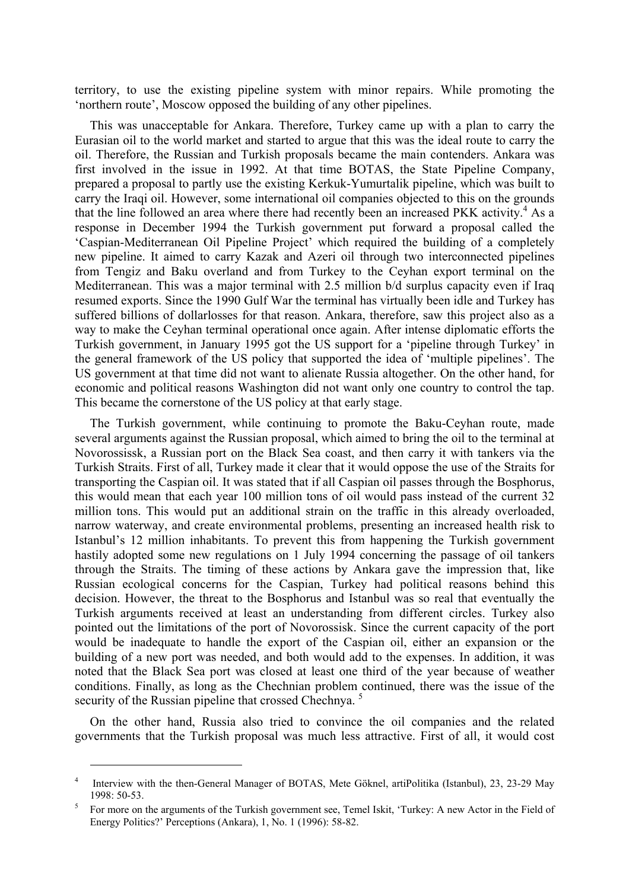territory, to use the existing pipeline system with minor repairs. While promoting the 'northern route', Moscow opposed the building of any other pipelines.

This was unacceptable for Ankara. Therefore, Turkey came up with a plan to carry the Eurasian oil to the world market and started to argue that this was the ideal route to carry the oil. Therefore, the Russian and Turkish proposals became the main contenders. Ankara was first involved in the issue in 1992. At that time BOTAS, the State Pipeline Company, prepared a proposal to partly use the existing Kerkuk-Yumurtalik pipeline, which was built to carry the Iraqi oil. However, some international oil companies objected to this on the grounds that the line followed an area where there had recently been an increased PKK activity.<sup>4</sup> As a response in December 1994 the Turkish government put forward a proposal called the 'Caspian-Mediterranean Oil Pipeline Project' which required the building of a completely new pipeline. It aimed to carry Kazak and Azeri oil through two interconnected pipelines from Tengiz and Baku overland and from Turkey to the Ceyhan export terminal on the Mediterranean. This was a major terminal with 2.5 million b/d surplus capacity even if Iraq resumed exports. Since the 1990 Gulf War the terminal has virtually been idle and Turkey has suffered billions of dollarlosses for that reason. Ankara, therefore, saw this project also as a way to make the Ceyhan terminal operational once again. After intense diplomatic efforts the Turkish government, in January 1995 got the US support for a 'pipeline through Turkey' in the general framework of the US policy that supported the idea of 'multiple pipelines'. The US government at that time did not want to alienate Russia altogether. On the other hand, for economic and political reasons Washington did not want only one country to control the tap. This became the cornerstone of the US policy at that early stage.

The Turkish government, while continuing to promote the Baku-Ceyhan route, made several arguments against the Russian proposal, which aimed to bring the oil to the terminal at Novorossissk, a Russian port on the Black Sea coast, and then carry it with tankers via the Turkish Straits. First of all, Turkey made it clear that it would oppose the use of the Straits for transporting the Caspian oil. It was stated that if all Caspian oil passes through the Bosphorus, this would mean that each year 100 million tons of oil would pass instead of the current 32 million tons. This would put an additional strain on the traffic in this already overloaded, narrow waterway, and create environmental problems, presenting an increased health risk to Istanbul's 12 million inhabitants. To prevent this from happening the Turkish government hastily adopted some new regulations on 1 July 1994 concerning the passage of oil tankers through the Straits. The timing of these actions by Ankara gave the impression that, like Russian ecological concerns for the Caspian, Turkey had political reasons behind this decision. However, the threat to the Bosphorus and Istanbul was so real that eventually the Turkish arguments received at least an understanding from different circles. Turkey also pointed out the limitations of the port of Novorossisk. Since the current capacity of the port would be inadequate to handle the export of the Caspian oil, either an expansion or the building of a new port was needed, and both would add to the expenses. In addition, it was noted that the Black Sea port was closed at least one third of the year because of weather conditions. Finally, as long as the Chechnian problem continued, there was the issue of the security of the Russian pipeline that crossed Chechnya.<sup>5</sup>

On the other hand, Russia also tried to convince the oil companies and the related governments that the Turkish proposal was much less attractive. First of all, it would cost

<sup>4</sup> Interview with the then-General Manager of BOTAS, Mete Göknel, artiPolitika (Istanbul), 23, 23-29 May  $1998: 50-53.$ 

For more on the arguments of the Turkish government see, Temel Iskit, 'Turkey: A new Actor in the Field of Energy Politics?' Perceptions (Ankara), 1, No. 1 (1996): 58-82.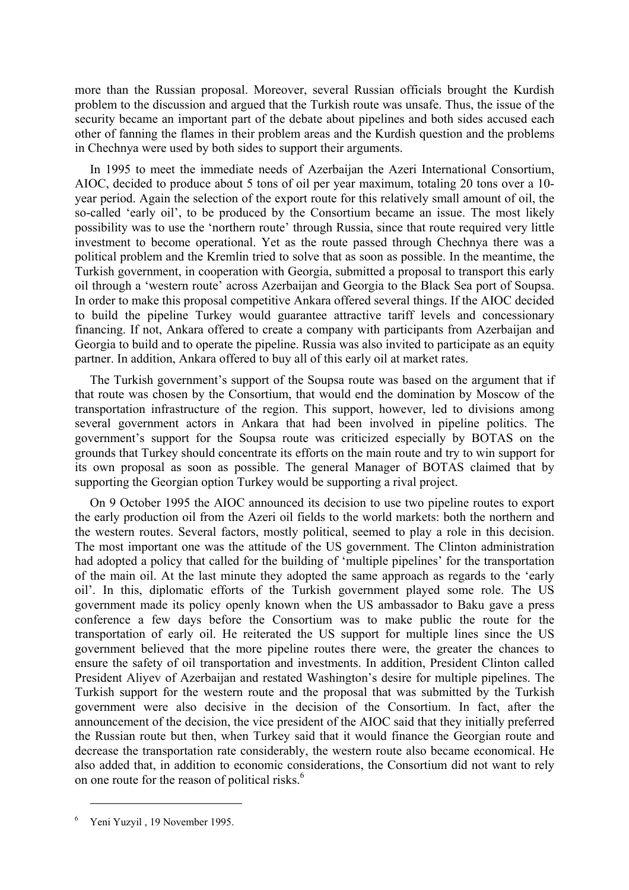more than the Russian proposal. Moreover, several Russian officials brought the Kurdish problem to the discussion and argued that the Turkish route was unsafe. Thus, the issue of the security became an important part of the debate about pipelines and both sides accused each other of fanning the flames in their problem areas and the Kurdish question and the problems in Chechnya were used by both sides to support their arguments.

In 1995 to meet the immediate needs of Azerbaijan the Azeri International Consortium, AIOC, decided to produce about 5 tons of oil per year maximum, totaling 20 tons over a 10 year period. Again the selection of the export route for this relatively small amount of oil, the so-called 'early oil', to be produced by the Consortium became an issue. The most likely possibility was to use the 'northern route' through Russia, since that route required very little investment to become operational. Yet as the route passed through Chechnya there was a political problem and the Kremlin tried to solve that as soon as possible. In the meantime, the Turkish government, in cooperation with Georgia, submitted a proposal to transport this early oil through a 'western route' across Azerbaijan and Georgia to the Black Sea port of Soupsa. In order to make this proposal competitive Ankara offered several things. If the AIOC decided to build the pipeline Turkey would guarantee attractive tariff levels and concessionary financing. If not, Ankara offered to create a company with participants from Azerbaijan and Georgia to build and to operate the pipeline. Russia was also invited to participate as an equity partner. In addition, Ankara offered to buy all of this early oil at market rates.

The Turkish government's support of the Soupsa route was based on the argument that if that route was chosen by the Consortium, that would end the domination by Moscow of the transportation infrastructure of the region. This support, however, led to divisions among several government actors in Ankara that had been involved in pipeline politics. The government's support for the Soupsa route was criticized especially by BOTAS on the grounds that Turkey should concentrate its efforts on the main route and try to win support for its own proposal as soon as possible. The general Manager of BOTAS claimed that by supporting the Georgian option Turkey would be supporting a rival project.

On 9 October 1995 the AIOC announced its decision to use two pipeline routes to export the early production oil from the Azeri oil fields to the world markets: both the northern and the western routes. Several factors, mostly political, seemed to play a role in this decision. The most important one was the attitude of the US government. The Clinton administration had adopted a policy that called for the building of 'multiple pipelines' for the transportation of the main oil. At the last minute they adopted the same approach as regards to the 'early oil'. In this, diplomatic efforts of the Turkish government played some role. The US government made its policy openly known when the US ambassador to Baku gave a press conference a few days before the Consortium was to make public the route for the transportation of early oil. He reiterated the US support for multiple lines since the US government believed that the more pipeline routes there were, the greater the chances to ensure the safety of oil transportation and investments. In addition, President Clinton called President Aliyev of Azerbaijan and restated Washington's desire for multiple pipelines. The Turkish support for the western route and the proposal that was submitted by the Turkish government were also decisive in the decision of the Consortium. In fact, after the announcement of the decision, the vice president of the AIOC said that they initially preferred the Russian route but then, when Turkey said that it would finance the Georgian route and decrease the transportation rate considerably, the western route also became economical. He also added that, in addition to economic considerations, the Consortium did not want to rely on one route for the reason of political risks.<sup>6</sup>

<sup>6</sup> Yeni Yuzyil , 19 November 1995.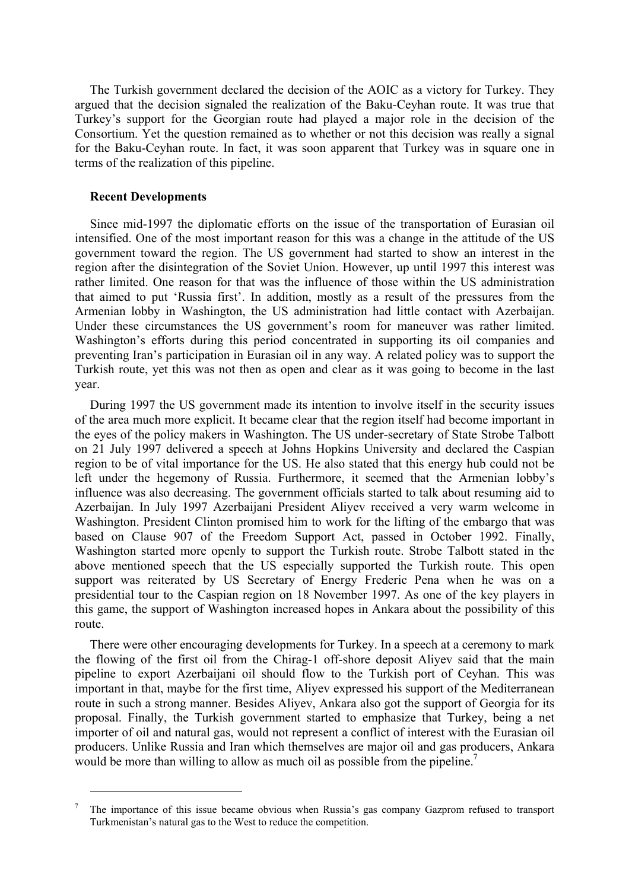The Turkish government declared the decision of the AOIC as a victory for Turkey. They argued that the decision signaled the realization of the Baku-Ceyhan route. It was true that Turkey's support for the Georgian route had played a major role in the decision of the Consortium. Yet the question remained as to whether or not this decision was really a signal for the Baku-Ceyhan route. In fact, it was soon apparent that Turkey was in square one in terms of the realization of this pipeline.

## **Recent Developments**

 $\overline{a}$ 

Since mid-1997 the diplomatic efforts on the issue of the transportation of Eurasian oil intensified. One of the most important reason for this was a change in the attitude of the US government toward the region. The US government had started to show an interest in the region after the disintegration of the Soviet Union. However, up until 1997 this interest was rather limited. One reason for that was the influence of those within the US administration that aimed to put 'Russia first'. In addition, mostly as a result of the pressures from the Armenian lobby in Washington, the US administration had little contact with Azerbaijan. Under these circumstances the US government's room for maneuver was rather limited. Washington's efforts during this period concentrated in supporting its oil companies and preventing Iran's participation in Eurasian oil in any way. A related policy was to support the Turkish route, yet this was not then as open and clear as it was going to become in the last year.

During 1997 the US government made its intention to involve itself in the security issues of the area much more explicit. It became clear that the region itself had become important in the eyes of the policy makers in Washington. The US under-secretary of State Strobe Talbott on 21 July 1997 delivered a speech at Johns Hopkins University and declared the Caspian region to be of vital importance for the US. He also stated that this energy hub could not be left under the hegemony of Russia. Furthermore, it seemed that the Armenian lobby's influence was also decreasing. The government officials started to talk about resuming aid to Azerbaijan. In July 1997 Azerbaijani President Aliyev received a very warm welcome in Washington. President Clinton promised him to work for the lifting of the embargo that was based on Clause 907 of the Freedom Support Act, passed in October 1992. Finally, Washington started more openly to support the Turkish route. Strobe Talbott stated in the above mentioned speech that the US especially supported the Turkish route. This open support was reiterated by US Secretary of Energy Frederic Pena when he was on a presidential tour to the Caspian region on 18 November 1997. As one of the key players in this game, the support of Washington increased hopes in Ankara about the possibility of this route.

There were other encouraging developments for Turkey. In a speech at a ceremony to mark the flowing of the first oil from the Chirag-1 off-shore deposit Aliyev said that the main pipeline to export Azerbaijani oil should flow to the Turkish port of Ceyhan. This was important in that, maybe for the first time, Aliyev expressed his support of the Mediterranean route in such a strong manner. Besides Aliyev, Ankara also got the support of Georgia for its proposal. Finally, the Turkish government started to emphasize that Turkey, being a net importer of oil and natural gas, would not represent a conflict of interest with the Eurasian oil producers. Unlike Russia and Iran which themselves are major oil and gas producers, Ankara would be more than willing to allow as much oil as possible from the pipeline.<sup>7</sup>

<sup>7</sup> The importance of this issue became obvious when Russia's gas company Gazprom refused to transport Turkmenistan's natural gas to the West to reduce the competition.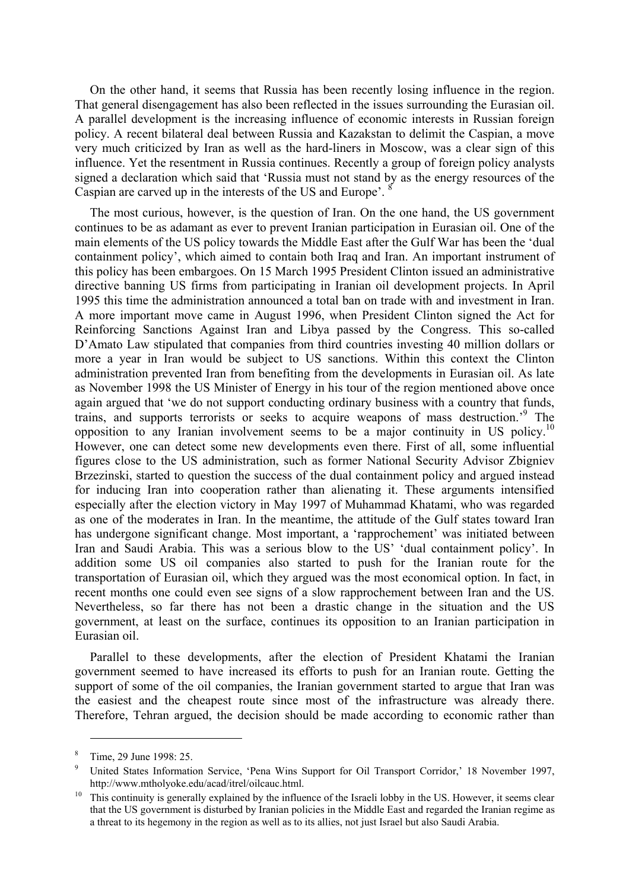On the other hand, it seems that Russia has been recently losing influence in the region. That general disengagement has also been reflected in the issues surrounding the Eurasian oil. A parallel development is the increasing influence of economic interests in Russian foreign policy. A recent bilateral deal between Russia and Kazakstan to delimit the Caspian, a move very much criticized by Iran as well as the hard-liners in Moscow, was a clear sign of this influence. Yet the resentment in Russia continues. Recently a group of foreign policy analysts signed a declaration which said that 'Russia must not stand by as the energy resources of the Caspian are carved up in the interests of the US and Europe'. 8

The most curious, however, is the question of Iran. On the one hand, the US government continues to be as adamant as ever to prevent Iranian participation in Eurasian oil. One of the main elements of the US policy towards the Middle East after the Gulf War has been the 'dual containment policy', which aimed to contain both Iraq and Iran. An important instrument of this policy has been embargoes. On 15 March 1995 President Clinton issued an administrative directive banning US firms from participating in Iranian oil development projects. In April 1995 this time the administration announced a total ban on trade with and investment in Iran. A more important move came in August 1996, when President Clinton signed the Act for Reinforcing Sanctions Against Iran and Libya passed by the Congress. This so-called D'Amato Law stipulated that companies from third countries investing 40 million dollars or more a year in Iran would be subject to US sanctions. Within this context the Clinton administration prevented Iran from benefiting from the developments in Eurasian oil. As late as November 1998 the US Minister of Energy in his tour of the region mentioned above once again argued that 'we do not support conducting ordinary business with a country that funds, trains, and supports terrorists or seeks to acquire weapons of mass destruction.'9 The opposition to any Iranian involvement seems to be a major continuity in US policy.<sup>10</sup> However, one can detect some new developments even there. First of all, some influential figures close to the US administration, such as former National Security Advisor Zbigniev Brzezinski, started to question the success of the dual containment policy and argued instead for inducing Iran into cooperation rather than alienating it. These arguments intensified especially after the election victory in May 1997 of Muhammad Khatami, who was regarded as one of the moderates in Iran. In the meantime, the attitude of the Gulf states toward Iran has undergone significant change. Most important, a 'rapprochement' was initiated between Iran and Saudi Arabia. This was a serious blow to the US' 'dual containment policy'. In addition some US oil companies also started to push for the Iranian route for the transportation of Eurasian oil, which they argued was the most economical option. In fact, in recent months one could even see signs of a slow rapprochement between Iran and the US. Nevertheless, so far there has not been a drastic change in the situation and the US government, at least on the surface, continues its opposition to an Iranian participation in Eurasian oil.

Parallel to these developments, after the election of President Khatami the Iranian government seemed to have increased its efforts to push for an Iranian route. Getting the support of some of the oil companies, the Iranian government started to argue that Iran was the easiest and the cheapest route since most of the infrastructure was already there. Therefore, Tehran argued, the decision should be made according to economic rather than

<sup>8</sup> Time, 29 June 1998: 25.

<sup>9</sup> United States Information Service, 'Pena Wins Support for Oil Transport Corridor,' 18 November 1997, http://www.mtholyoke.edu/acad/itrel/oilcauc.html.<br><sup>10</sup> This continuity is generally explained by the influence of the Israeli lobby in the US. However, it seems clear

that the US government is disturbed by Iranian policies in the Middle East and regarded the Iranian regime as a threat to its hegemony in the region as well as to its allies, not just Israel but also Saudi Arabia.